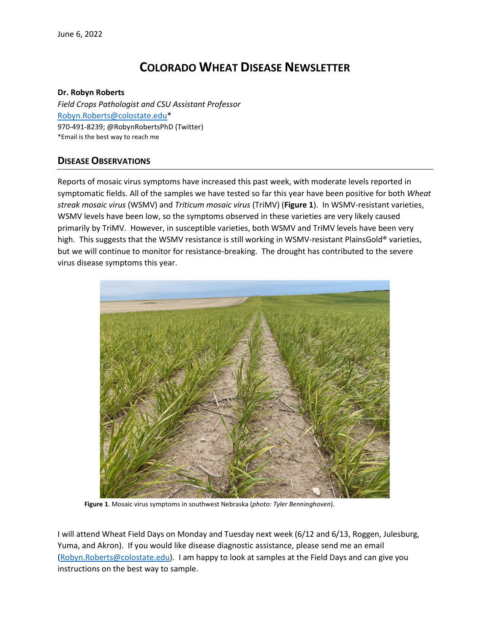# **COLORADO WHEAT DISEASE NEWSLETTER**

#### **Dr. Robyn Roberts**

*Field Crops Pathologist and CSU Assistant Professor* [Robyn.Roberts@colostate.edu\\*](mailto:Robyn.Roberts@colostate.edu) 970-491-8239; @RobynRobertsPhD (Twitter) \*Email is the best way to reach me

# **DISEASE OBSERVATIONS**

Reports of mosaic virus symptoms have increased this past week, with moderate levels reported in symptomatic fields. All of the samples we have tested so far this year have been positive for both *Wheat streak mosaic virus* (WSMV) and *Triticum mosaic virus* (TriMV) (**Figure 1**). In WSMV-resistant varieties, WSMV levels have been low, so the symptoms observed in these varieties are very likely caused primarily by TriMV. However, in susceptible varieties, both WSMV and TriMV levels have been very high. This suggests that the WSMV resistance is still working in WSMV-resistant PlainsGold® varieties, but we will continue to monitor for resistance-breaking. The drought has contributed to the severe virus disease symptoms this year.



**Figure 1**. Mosaic virus symptoms in southwest Nebraska (*photo: Tyler Benninghoven*).

I will attend Wheat Field Days on Monday and Tuesday next week (6/12 and 6/13, Roggen, Julesburg, Yuma, and Akron). If you would like disease diagnostic assistance, please send me an email [\(Robyn.Roberts@colostate.edu\)](mailto:Robyn.Roberts@colostate.edu). I am happy to look at samples at the Field Days and can give you instructions on the best way to sample.